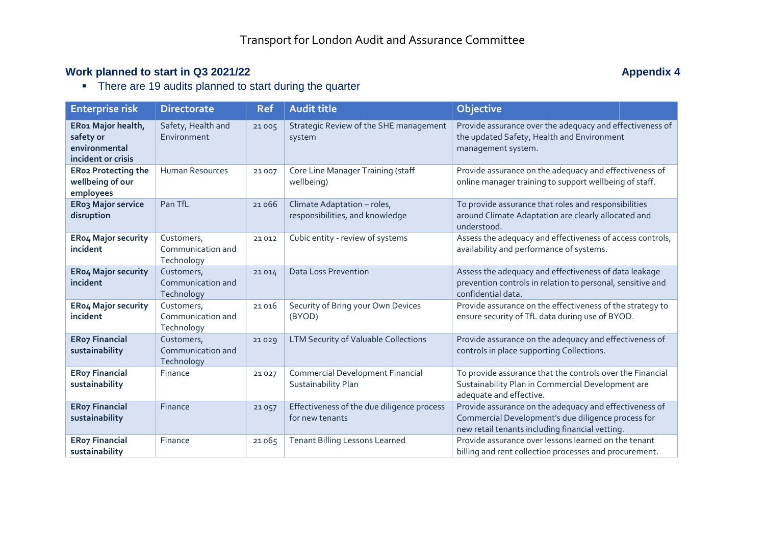## **Work planned to start in Q3 2021/22 Appendix 4 Appendix 4 Appendix 4 Appendix 4 Appendix 4**

• There are 19 audits planned to start during the quarter

| <b>Enterprise risk</b>                                                 | <b>Directorate</b>                            | <b>Ref</b> | <b>Audit title</b>                                             | <b>Objective</b>                                                                                                                                                |
|------------------------------------------------------------------------|-----------------------------------------------|------------|----------------------------------------------------------------|-----------------------------------------------------------------------------------------------------------------------------------------------------------------|
| ER01 Major health,<br>safety or<br>environmental<br>incident or crisis | Safety, Health and<br>Environment             | 21005      | Strategic Review of the SHE management<br>system               | Provide assurance over the adequacy and effectiveness of<br>the updated Safety, Health and Environment<br>management system.                                    |
| <b>ERo2 Protecting the</b><br>wellbeing of our<br>employees            | <b>Human Resources</b>                        | 21 007     | Core Line Manager Training (staff<br>wellbeing)                | Provide assurance on the adequacy and effectiveness of<br>online manager training to support wellbeing of staff.                                                |
| <b>ERo3 Major service</b><br>disruption                                | Pan TfL                                       | 21066      | Climate Adaptation - roles,<br>responsibilities, and knowledge | To provide assurance that roles and responsibilities<br>around Climate Adaptation are clearly allocated and<br>understood.                                      |
| ERo4 Major security<br>incident                                        | Customers,<br>Communication and<br>Technology | 21012      | Cubic entity - review of systems                               | Assess the adequacy and effectiveness of access controls,<br>availability and performance of systems.                                                           |
| <b>ERo4 Major security</b><br>incident                                 | Customers,<br>Communication and<br>Technology | 21014      | <b>Data Loss Prevention</b>                                    | Assess the adequacy and effectiveness of data leakage<br>prevention controls in relation to personal, sensitive and<br>confidential data.                       |
| <b>ERo4 Major security</b><br>incident                                 | Customers,<br>Communication and<br>Technology | 21016      | Security of Bring your Own Devices<br>(BYOD)                   | Provide assurance on the effectiveness of the strategy to<br>ensure security of TfL data during use of BYOD.                                                    |
| <b>ERo7 Financial</b><br>sustainability                                | Customers,<br>Communication and<br>Technology | 21029      | <b>LTM Security of Valuable Collections</b>                    | Provide assurance on the adequacy and effectiveness of<br>controls in place supporting Collections.                                                             |
| <b>ERo7 Financial</b><br>sustainability                                | Finance                                       | 21027      | <b>Commercial Development Financial</b><br>Sustainability Plan | To provide assurance that the controls over the Financial<br>Sustainability Plan in Commercial Development are<br>adequate and effective.                       |
| <b>ERo7 Financial</b><br>sustainability                                | Finance                                       | 21057      | Effectiveness of the due diligence process<br>for new tenants  | Provide assurance on the adequacy and effectiveness of<br>Commercial Development's due diligence process for<br>new retail tenants including financial vetting. |
| <b>ERo7 Financial</b><br>sustainability                                | Finance                                       | 21065      | <b>Tenant Billing Lessons Learned</b>                          | Provide assurance over lessons learned on the tenant<br>billing and rent collection processes and procurement.                                                  |